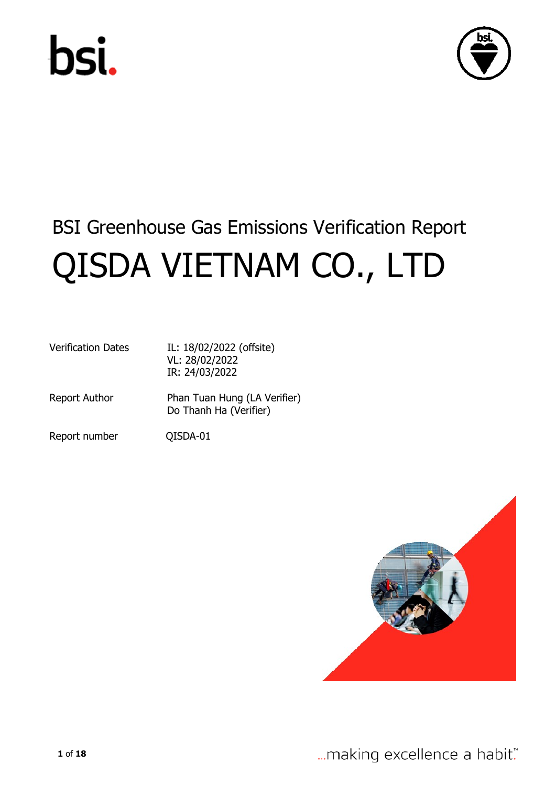



# BSI Greenhouse Gas Emissions Verification Report QISDA VIETNAM CO., LTD

| <b>Verification Dates</b> | IL: 18/02/2022 (offsite)<br>VL: 28/02/2022<br>IR: 24/03/2022 |
|---------------------------|--------------------------------------------------------------|
| <b>Report Author</b>      | Phan Tuan Hung (LA Verifier)<br>Do Thanh Ha (Verifier)       |

Report number QISDA-01

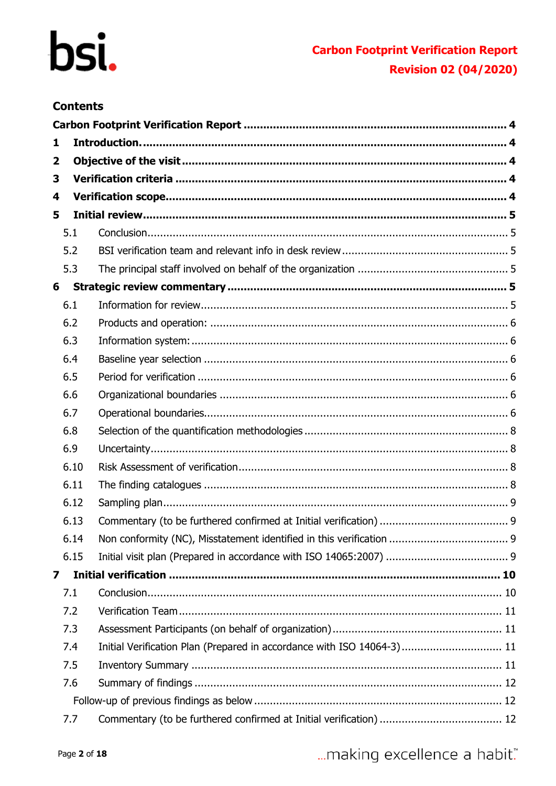## **Carbon Footprint Verification Report Revision 02 (04/2020)**

### **Contents**

| 1            |      |                                                                        |  |
|--------------|------|------------------------------------------------------------------------|--|
| $\mathbf{2}$ |      |                                                                        |  |
| 3            |      |                                                                        |  |
| 4            |      |                                                                        |  |
| 5            |      |                                                                        |  |
|              | 5.1  |                                                                        |  |
|              | 5.2  |                                                                        |  |
|              | 5.3  |                                                                        |  |
| 6            |      |                                                                        |  |
|              | 6.1  |                                                                        |  |
|              | 6.2  |                                                                        |  |
|              | 6.3  |                                                                        |  |
|              | 6.4  |                                                                        |  |
|              | 6.5  |                                                                        |  |
|              | 6.6  |                                                                        |  |
|              | 6.7  |                                                                        |  |
|              | 6.8  |                                                                        |  |
|              | 6.9  |                                                                        |  |
|              | 6.10 |                                                                        |  |
|              | 6.11 |                                                                        |  |
|              | 6.12 |                                                                        |  |
|              | 6.13 |                                                                        |  |
|              | 6.14 |                                                                        |  |
|              | 6.15 |                                                                        |  |
| 7            |      |                                                                        |  |
|              | 7.1  |                                                                        |  |
|              | 7.2  |                                                                        |  |
|              | 7.3  |                                                                        |  |
|              | 7.4  | Initial Verification Plan (Prepared in accordance with ISO 14064-3) 11 |  |
|              | 7.5  |                                                                        |  |
|              | 7.6  |                                                                        |  |
|              |      |                                                                        |  |
|              | 7.7  |                                                                        |  |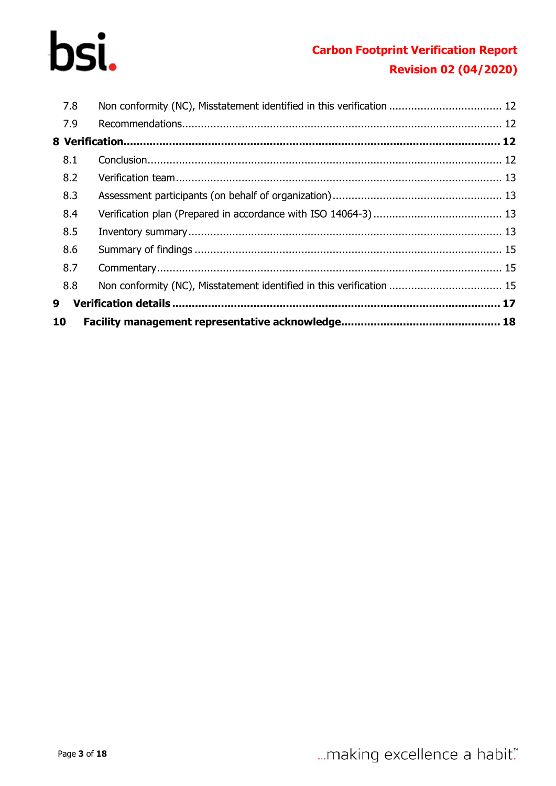## **Carbon Footprint Verification Report Revision 02 (04/2020)**

| 10  |                                                                       |  |
|-----|-----------------------------------------------------------------------|--|
| 9   |                                                                       |  |
| 8.8 | Non conformity (NC), Misstatement identified in this verification  15 |  |
| 8.7 |                                                                       |  |
| 8.6 |                                                                       |  |
| 8.5 |                                                                       |  |
| 8.4 |                                                                       |  |
| 8.3 |                                                                       |  |
| 8.2 |                                                                       |  |
| 8.1 |                                                                       |  |
|     |                                                                       |  |
| 7.9 |                                                                       |  |
| 7.8 |                                                                       |  |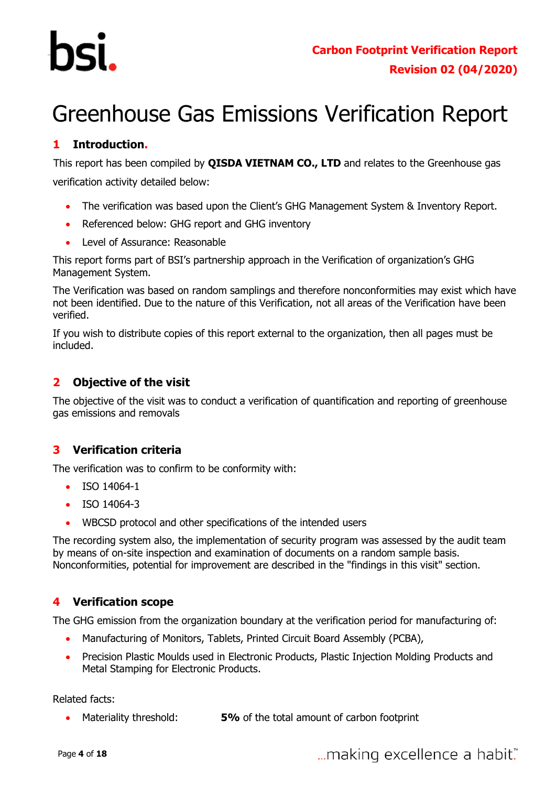# <span id="page-3-0"></span>Greenhouse Gas Emissions Verification Report

### <span id="page-3-1"></span>**1 Introduction.**

This report has been compiled by **QISDA VIETNAM CO., LTD** and relates to the Greenhouse gas verification activity detailed below:

- The verification was based upon the Client's GHG Management System & Inventory Report.
- Referenced below: GHG report and GHG inventory
- Level of Assurance: Reasonable

This report forms part of BSI's partnership approach in the Verification of organization's GHG Management System.

The Verification was based on random samplings and therefore nonconformities may exist which have not been identified. Due to the nature of this Verification, not all areas of the Verification have been verified.

If you wish to distribute copies of this report external to the organization, then all pages must be included.

#### <span id="page-3-2"></span>**2 Objective of the visit**

The objective of the visit was to conduct a verification of quantification and reporting of greenhouse gas emissions and removals

### <span id="page-3-3"></span>**3 Verification criteria**

The verification was to confirm to be conformity with:

- ISO 14064-1
- ISO 14064-3
- WBCSD protocol and other specifications of the intended users

The recording system also, the implementation of security program was assessed by the audit team by means of on-site inspection and examination of documents on a random sample basis. Nonconformities, potential for improvement are described in the "findings in this visit" section.

#### <span id="page-3-4"></span>**4 Verification scope**

The GHG emission from the organization boundary at the verification period for manufacturing of:

- Manufacturing of Monitors, Tablets, Printed Circuit Board Assembly (PCBA),
- Precision Plastic Moulds used in Electronic Products, Plastic Injection Molding Products and Metal Stamping for Electronic Products.

Related facts:

Materiality threshold: **5%** of the total amount of carbon footprint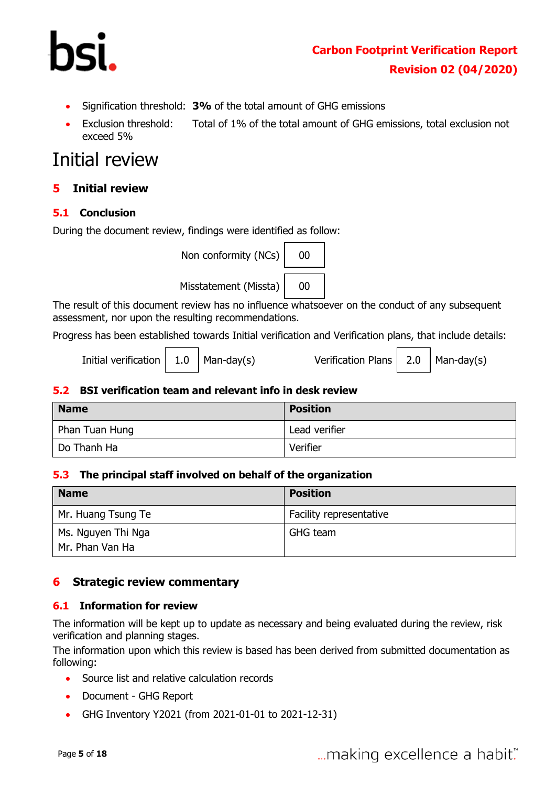

- Signification threshold: **3%** of the total amount of GHG emissions
- Exclusion threshold: Total of 1% of the total amount of GHG emissions, total exclusion not exceed 5%

# Initial review

#### <span id="page-4-0"></span>**5 Initial review**

#### <span id="page-4-1"></span>**5.1 Conclusion**

During the document review, findings were identified as follow:



The result of this document review has no influence whatsoever on the conduct of any subsequent assessment, nor upon the resulting recommendations.

Progress has been established towards Initial verification and Verification plans, that include details:

Initial verification  $\vert$  1.0  $\vert$  Man-day(s) Verification Plans  $\vert$  2.0  $\vert$  Man-day(s)

#### <span id="page-4-2"></span>**5.2 BSI verification team and relevant info in desk review**

| <b>Name</b>    | <b>Position</b> |  |
|----------------|-----------------|--|
| Phan Tuan Hung | Lead verifier   |  |
| Do Thanh Ha    | Verifier        |  |

#### <span id="page-4-3"></span>**5.3 The principal staff involved on behalf of the organization**

| <b>Name</b>                           | <b>Position</b>         |
|---------------------------------------|-------------------------|
| Mr. Huang Tsung Te                    | Facility representative |
| Ms. Nguyen Thi Nga<br>Mr. Phan Van Ha | GHG team                |

#### <span id="page-4-4"></span>**6 Strategic review commentary**

#### <span id="page-4-5"></span>**6.1 Information for review**

The information will be kept up to update as necessary and being evaluated during the review, risk verification and planning stages.

The information upon which this review is based has been derived from submitted documentation as following:

- Source list and relative calculation records
- Document GHG Report
- GHG Inventory Y2021 (from 2021-01-01 to 2021-12-31)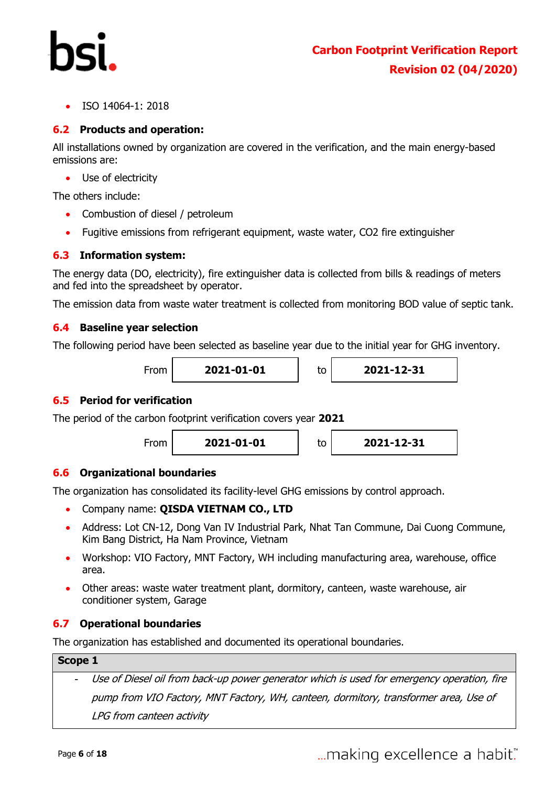ISO 14064-1: 2018

#### <span id="page-5-0"></span>**6.2 Products and operation:**

All installations owned by organization are covered in the verification, and the main energy-based emissions are:

Use of electricity

The others include:

- Combustion of diesel / petroleum
- Fugitive emissions from refrigerant equipment, waste water, CO2 fire extinguisher

#### <span id="page-5-1"></span>**6.3 Information system:**

The energy data (DO, electricity), fire extinguisher data is collected from bills & readings of meters and fed into the spreadsheet by operator.

The emission data from waste water treatment is collected from monitoring BOD value of septic tank.

#### <span id="page-5-2"></span>**6.4 Baseline year selection**

The following period have been selected as baseline year due to the initial year for GHG inventory.

From **2021-01-01** to **2021-12-31**

#### <span id="page-5-3"></span>**6.5 Period for verification**

The period of the carbon footprint verification covers year **2021**



#### <span id="page-5-4"></span>**6.6 Organizational boundaries**

The organization has consolidated its facility-level GHG emissions by control approach.

- Company name: **QISDA VIETNAM CO., LTD**
- Address: Lot CN-12, Dong Van IV Industrial Park, Nhat Tan Commune, Dai Cuong Commune, Kim Bang District, Ha Nam Province, Vietnam
- Workshop: VIO Factory, MNT Factory, WH including manufacturing area, warehouse, office area.
- Other areas: waste water treatment plant, dormitory, canteen, waste warehouse, air conditioner system, Garage

#### <span id="page-5-5"></span>**6.7 Operational boundaries**

The organization has established and documented its operational boundaries.

#### **Scope 1**

Use of Diesel oil from back-up power generator which is used for emergency operation, fire pump from VIO Factory, MNT Factory, WH, canteen, dormitory, transformer area, Use of LPG from canteen activity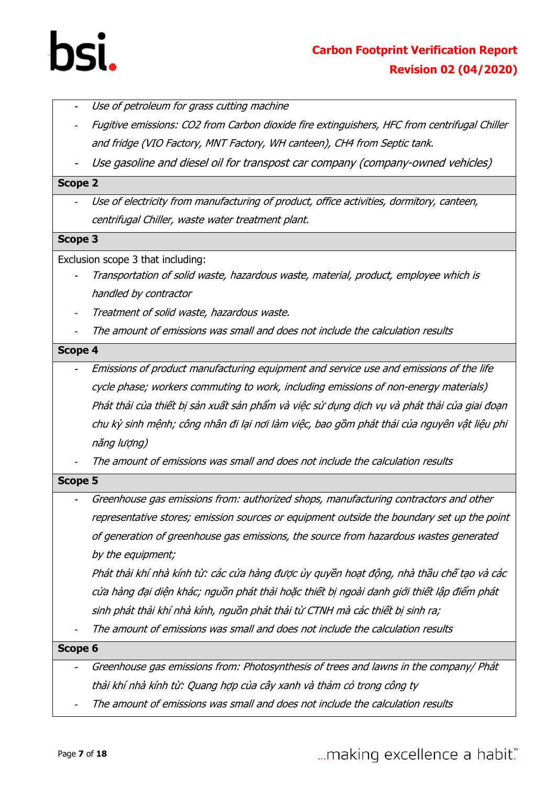

- Use of petroleum for grass cutting machine
- Fugitive emissions: CO2 from Carbon dioxide fire extinguishers, HFC from centrifugal Chiller and fridge (VIO Factory, MNT Factory, WH canteen), CH4 from Septic tank.
- Use gasoline and diesel oil for transpost car company (company-owned vehicles)

#### **Scope 2**

- Use of electricity from manufacturing of product, office activities, dormitory, canteen, centrifugal Chiller, waste water treatment plant.

#### **Scope 3**

Exclusion scope 3 that including:

- Transportation of solid waste, hazardous waste, material, product, employee which is handled by contractor
- Treatment of solid waste, hazardous waste.
- The amount of emissions was small and does not include the calculation results

#### **Scope 4**

- Emissions of product manufacturing equipment and service use and emissions of the life cycle phase; workers commuting to work, including emissions of non-energy materials) Phát thải của thiết bị <sup>s</sup>ản xuất sản phẩm và việc sử <sup>d</sup>ụng dịch v<sup>ụ</sup> và phát thải của giai đoạ<sup>n</sup> chu kỳ sinh mệnh; công nhân đi lại nơi làm việc, bao gồm phát thải của nguyên vật liệu phi năng lượng)

The amount of emissions was small and does not include the calculation results

#### **Scope 5**

Greenhouse gas emissions from: authorized shops, manufacturing contractors and other representative stores; emission sources or equipment outside the boundary set up the point of generation of greenhouse gas emissions, the source from hazardous wastes generated by the equipment;

Phát thải khí nhà kính từ: các cửa hàng được ủy quyền hoạt động, nhà thầu chế <sup>t</sup>ạo và các <sup>c</sup>ửa hàng đại diện khác; nguồn phát thải hoặc thiết bị ngoài danh giới thiết lập điểm phát sinh phát thải khí nhà kính, nguồn phát thải từ CTNH mà các thiết bị sinh ra;

The amount of emissions was small and does not include the calculation results

**Scope 6**

- Greenhouse gas emissions from: Photosynthesis of trees and lawns in the company/ Phát thải khí nhà kính từ: Quang hợp của cây xanh và thảm cỏ trong công ty
- The amount of emissions was small and does not include the calculation results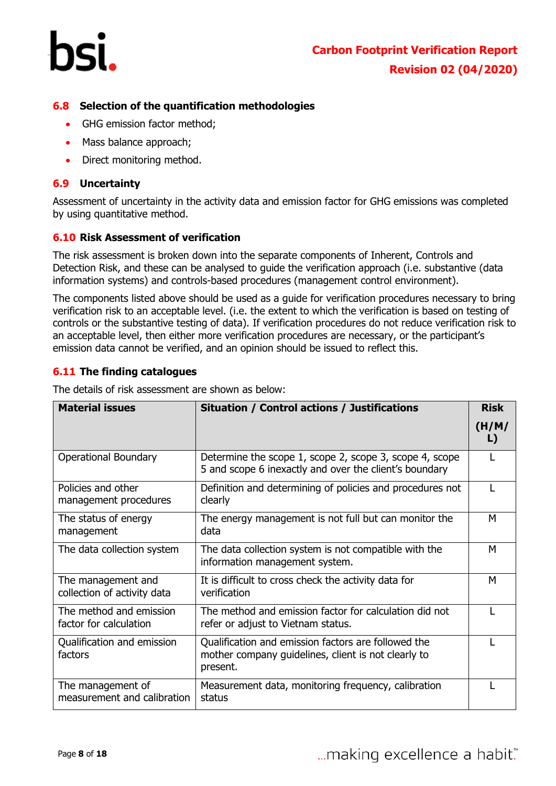

#### <span id="page-7-0"></span>**6.8 Selection of the quantification methodologies**

- GHG emission factor method:
- Mass balance approach:
- Direct monitoring method.

#### <span id="page-7-1"></span>**6.9 Uncertainty**

Assessment of uncertainty in the activity data and emission factor for GHG emissions was completed by using quantitative method.

#### <span id="page-7-2"></span>**6.10 Risk Assessment of verification**

The risk assessment is broken down into the separate components of Inherent, Controls and Detection Risk, and these can be analysed to guide the verification approach (i.e. substantive (data information systems) and controls-based procedures (management control environment).

The components listed above should be used as a guide for verification procedures necessary to bring verification risk to an acceptable level. (i.e. the extent to which the verification is based on testing of controls or the substantive testing of data). If verification procedures do not reduce verification risk to an acceptable level, then either more verification procedures are necessary, or the participant's emission data cannot be verified, and an opinion should be issued to reflect this.

#### <span id="page-7-3"></span>**6.11 The finding catalogues**

The details of risk assessment are shown as below:

| <b>Material issues</b>                            | <b>Situation / Control actions / Justifications</b>                                                                    | <b>Risk</b> |
|---------------------------------------------------|------------------------------------------------------------------------------------------------------------------------|-------------|
|                                                   |                                                                                                                        | (H/M)<br>L) |
| <b>Operational Boundary</b>                       | Determine the scope 1, scope 2, scope 3, scope 4, scope<br>5 and scope 6 inexactly and over the client's boundary      |             |
| Policies and other<br>management procedures       | Definition and determining of policies and procedures not<br>clearly                                                   |             |
| The status of energy<br>management                | The energy management is not full but can monitor the<br>data                                                          | M           |
| The data collection system                        | The data collection system is not compatible with the<br>information management system.                                | M           |
| The management and<br>collection of activity data | It is difficult to cross check the activity data for<br>verification                                                   | M           |
| The method and emission<br>factor for calculation | The method and emission factor for calculation did not<br>refer or adjust to Vietnam status.                           |             |
| Qualification and emission<br>factors             | Qualification and emission factors are followed the<br>mother company guidelines, client is not clearly to<br>present. |             |
| The management of<br>measurement and calibration  | Measurement data, monitoring frequency, calibration<br>status                                                          |             |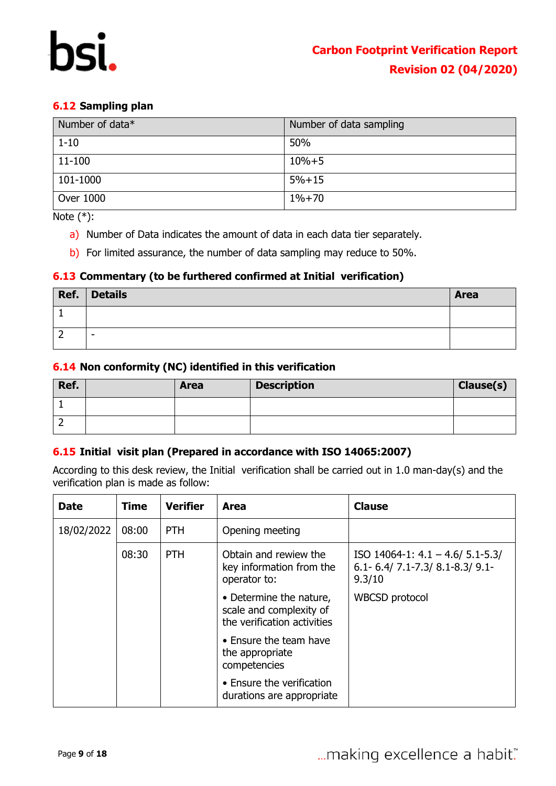#### <span id="page-8-0"></span>**6.12 Sampling plan**

| Number of data* | Number of data sampling |
|-----------------|-------------------------|
| $1 - 10$        | 50%                     |
| 11-100          | $10% + 5$               |
| 101-1000        | $5% + 15$               |
| Over 1000       | $1% + 70$               |

Note  $(*)$ :

- a) Number of Data indicates the amount of data in each data tier separately.
- b) For limited assurance, the number of data sampling may reduce to 50%.

#### <span id="page-8-1"></span>**6.13 Commentary (to be furthered confirmed at Initial verification)**

| Ref. | <b>Details</b> | <b>Area</b> |
|------|----------------|-------------|
|      |                |             |
| -    | -              |             |

#### <span id="page-8-2"></span>**6.14 Non conformity (NC) identified in this verification**

| Ref. | <b>Area</b> | <b>Description</b> | Clause(s) |
|------|-------------|--------------------|-----------|
|      |             |                    |           |
| -    |             |                    |           |

#### <span id="page-8-3"></span>**6.15 Initial visit plan (Prepared in accordance with ISO 14065:2007)**

According to this desk review, the Initial verification shall be carried out in 1.0 man-day(s) and the verification plan is made as follow:

| <b>Date</b> | Time  | <b>Verifier</b> | Area                                                                              | <b>Clause</b>                                                                          |
|-------------|-------|-----------------|-----------------------------------------------------------------------------------|----------------------------------------------------------------------------------------|
| 18/02/2022  | 08:00 | <b>PTH</b>      | Opening meeting                                                                   |                                                                                        |
|             | 08:30 | <b>PTH</b>      | Obtain and rewiew the<br>key information from the<br>operator to:                 | ISO 14064-1: $4.1 - 4.6/ 5.1 - 5.3/$<br>$6.1 - 6.4$ / 7.1-7.3/ 8.1-8.3/ 9.1-<br>9.3/10 |
|             |       |                 | • Determine the nature,<br>scale and complexity of<br>the verification activities | <b>WBCSD</b> protocol                                                                  |
|             |       |                 | • Ensure the team have<br>the appropriate<br>competencies                         |                                                                                        |
|             |       |                 | • Ensure the verification<br>durations are appropriate                            |                                                                                        |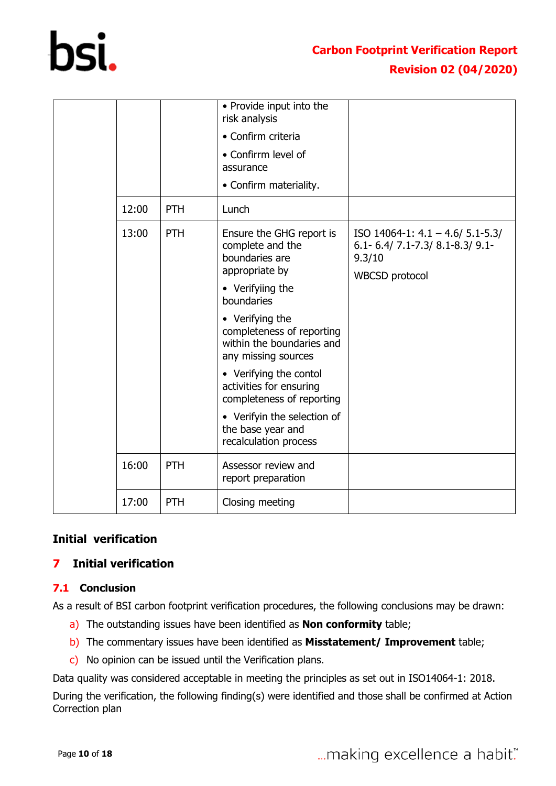

|       |            | • Provide input into the<br>risk analysis                                                        |                                                                                                                    |
|-------|------------|--------------------------------------------------------------------------------------------------|--------------------------------------------------------------------------------------------------------------------|
|       |            | • Confirm criteria                                                                               |                                                                                                                    |
|       |            | • Confirrm level of<br>assurance                                                                 |                                                                                                                    |
|       |            | • Confirm materiality.                                                                           |                                                                                                                    |
| 12:00 | <b>PTH</b> | Lunch                                                                                            |                                                                                                                    |
| 13:00 | <b>PTH</b> | Ensure the GHG report is<br>complete and the<br>boundaries are<br>appropriate by                 | ISO 14064-1: $4.1 - 4.6/5.1 - 5.3/$<br>$6.1 - 6.4$ / 7.1-7.3 $8.1 - 8.3$ / 9.1-<br>9.3/10<br><b>WBCSD</b> protocol |
|       |            | • Verifyiing the<br>boundaries                                                                   |                                                                                                                    |
|       |            | • Verifying the<br>completeness of reporting<br>within the boundaries and<br>any missing sources |                                                                                                                    |
|       |            | • Verifying the contol<br>activities for ensuring<br>completeness of reporting                   |                                                                                                                    |
|       |            | • Verifyin the selection of<br>the base year and<br>recalculation process                        |                                                                                                                    |
| 16:00 | PTH        | Assessor review and<br>report preparation                                                        |                                                                                                                    |
| 17:00 | PTH        | Closing meeting                                                                                  |                                                                                                                    |

### **Initial verification**

### <span id="page-9-0"></span>**7 Initial verification**

#### <span id="page-9-1"></span>**7.1 Conclusion**

As a result of BSI carbon footprint verification procedures, the following conclusions may be drawn:

- a) The outstanding issues have been identified as **Non conformity** table;
- b) The commentary issues have been identified as **Misstatement/ Improvement** table;
- c) No opinion can be issued until the Verification plans.

Data quality was considered acceptable in meeting the principles as set out in ISO14064-1: 2018.

During the verification, the following finding(s) were identified and those shall be confirmed at Action Correction plan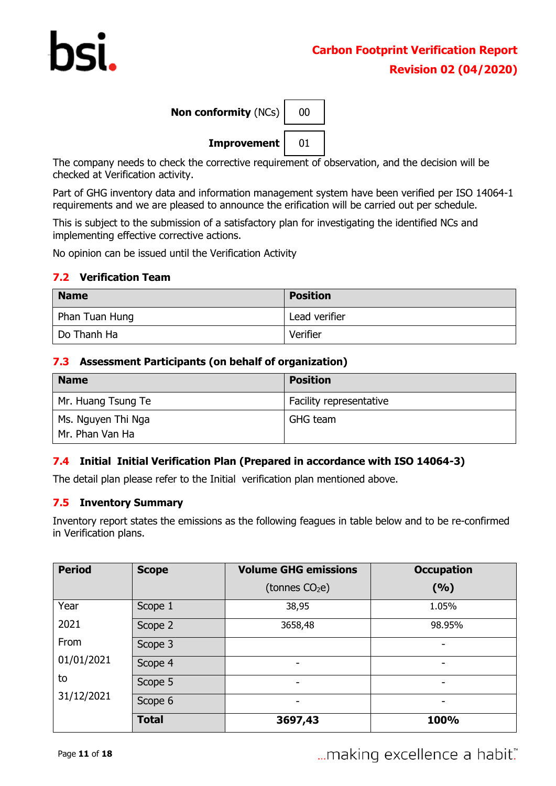| Non conformity $(NCs)$ | 00 |
|------------------------|----|
| Improvement            | 01 |

The company needs to check the corrective requirement of observation, and the decision will be checked at Verification activity.

Part of GHG inventory data and information management system have been verified per ISO 14064-1 requirements and we are pleased to announce the erification will be carried out per schedule.

This is subject to the submission of a satisfactory plan for investigating the identified NCs and implementing effective corrective actions.

No opinion can be issued until the Verification Activity

#### <span id="page-10-0"></span>**7.2 Verification Team**

| <b>Name</b>    | <b>Position</b> |
|----------------|-----------------|
| Phan Tuan Hung | Lead verifier   |
| Do Thanh Ha    | Verifier        |

#### <span id="page-10-1"></span>**7.3 Assessment Participants (on behalf of organization)**

| <b>Name</b>                           | <b>Position</b>         |
|---------------------------------------|-------------------------|
| Mr. Huang Tsung Te                    | Facility representative |
| Ms. Nguyen Thi Nga<br>Mr. Phan Van Ha | GHG team                |

#### <span id="page-10-2"></span>**7.4 Initial Initial Verification Plan (Prepared in accordance with ISO 14064-3)**

The detail plan please refer to the Initial verification plan mentioned above.

#### <span id="page-10-3"></span>**7.5 Inventory Summary**

Inventory report states the emissions as the following feagues in table below and to be re-confirmed in Verification plans.

| <b>Period</b> | <b>Scope</b> | <b>Volume GHG emissions</b> | <b>Occupation</b> |
|---------------|--------------|-----------------------------|-------------------|
|               |              | (tonnes $CO2e$ )            | (9/6)             |
| Year          | Scope 1      | 38,95                       | 1.05%             |
| 2021          | Scope 2      | 3658,48                     | 98.95%            |
| From          | Scope 3      |                             | -                 |
| 01/01/2021    | Scope 4      | -                           | -                 |
| to            | Scope 5      | -                           | -                 |
| 31/12/2021    | Scope 6      | -                           | -                 |
|               | <b>Total</b> | 3697,43                     | 100%              |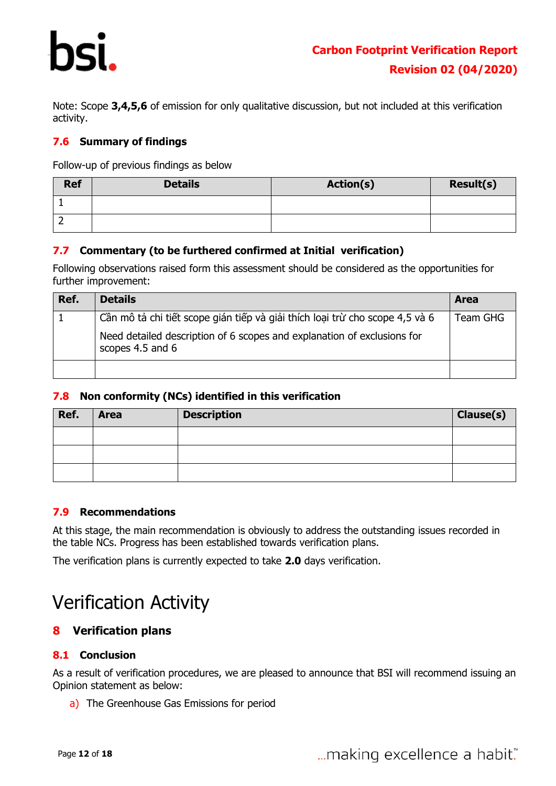Note: Scope **3,4,5,6** of emission for only qualitative discussion, but not included at this verification activity.

#### <span id="page-11-0"></span>**7.6 Summary of findings**

<span id="page-11-1"></span>Follow-up of previous findings as below

| <b>Ref</b> | <b>Details</b> | <b>Action(s)</b> | <b>Result(s)</b> |
|------------|----------------|------------------|------------------|
|            |                |                  |                  |
| -          |                |                  |                  |

#### <span id="page-11-2"></span>**7.7 Commentary (to be furthered confirmed at Initial verification)**

Following observations raised form this assessment should be considered as the opportunities for further improvement:

| Ref. | <b>Details</b>                                                                              | <b>Area</b> |
|------|---------------------------------------------------------------------------------------------|-------------|
|      | Cần mô tả chi tiết scope gián tiếp và giải thích loại trừ cho scope 4,5 và 6                | Team GHG    |
|      | Need detailed description of 6 scopes and explanation of exclusions for<br>scopes 4.5 and 6 |             |
|      |                                                                                             |             |

#### <span id="page-11-3"></span>**7.8 Non conformity (NCs) identified in this verification**

| Ref. | <b>Area</b> | <b>Description</b> | Clause(s) |
|------|-------------|--------------------|-----------|
|      |             |                    |           |
|      |             |                    |           |
|      |             |                    |           |

#### <span id="page-11-4"></span>**7.9 Recommendations**

At this stage, the main recommendation is obviously to address the outstanding issues recorded in the table NCs. Progress has been established towards verification plans.

The verification plans is currently expected to take **2.0** days verification.

# Verification Activity

#### <span id="page-11-5"></span>**8 Verification plans**

#### <span id="page-11-6"></span>**8.1 Conclusion**

As a result of verification procedures, we are pleased to announce that BSI will recommend issuing an Opinion statement as below:

a) The Greenhouse Gas Emissions for period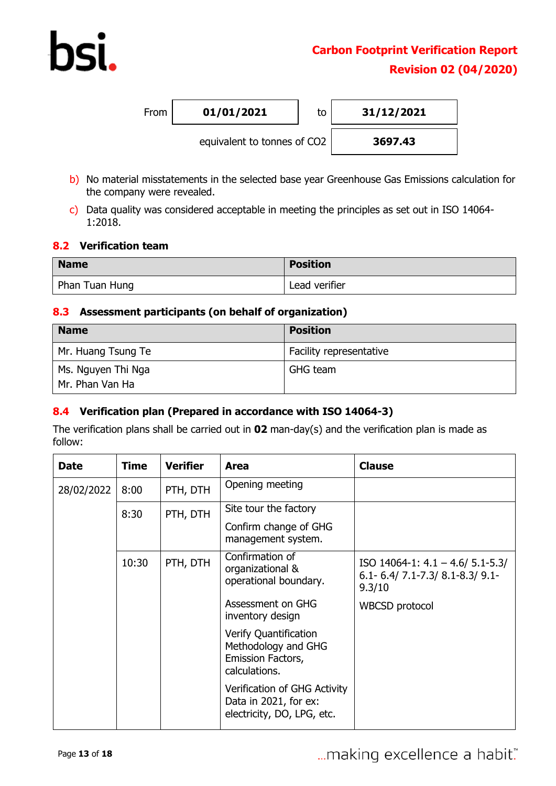From **01/01/2021** to **31/12/2021**



- b) No material misstatements in the selected base year Greenhouse Gas Emissions calculation for the company were revealed.
- c) Data quality was considered acceptable in meeting the principles as set out in ISO 14064- 1:2018.

#### <span id="page-12-0"></span>**8.2 Verification team**

| <b>Name</b>    | <b>Position</b> |
|----------------|-----------------|
| Phan Tuan Hung | Lead verifier   |

#### <span id="page-12-1"></span>**8.3 Assessment participants (on behalf of organization)**

| <b>Name</b>                           | <b>Position</b>         |
|---------------------------------------|-------------------------|
| Mr. Huang Tsung Te                    | Facility representative |
| Ms. Nguyen Thi Nga<br>Mr. Phan Van Ha | <b>GHG</b> team         |

#### <span id="page-12-2"></span>**8.4 Verification plan (Prepared in accordance with ISO 14064-3)**

The verification plans shall be carried out in **02** man-day(s) and the verification plan is made as follow:

<span id="page-12-3"></span>

| <b>Date</b> | <b>Time</b> | <b>Verifier</b> | Area                                                                                | <b>Clause</b>                                                                         |
|-------------|-------------|-----------------|-------------------------------------------------------------------------------------|---------------------------------------------------------------------------------------|
| 28/02/2022  | 8:00        | PTH, DTH        | Opening meeting                                                                     |                                                                                       |
|             | 8:30        | PTH, DTH        | Site tour the factory                                                               |                                                                                       |
|             |             |                 | Confirm change of GHG<br>management system.                                         |                                                                                       |
|             | 10:30       | PTH, DTH        | Confirmation of<br>organizational &<br>operational boundary.                        | ISO 14064-1: $4.1 - 4.6/5.1 - 5.3/$<br>$6.1 - 6.4$ / 7.1-7.3/ 8.1-8.3/ 9.1-<br>9.3/10 |
|             |             |                 | Assessment on GHG<br>inventory design                                               | <b>WBCSD</b> protocol                                                                 |
|             |             |                 | Verify Quantification<br>Methodology and GHG<br>Emission Factors,<br>calculations.  |                                                                                       |
|             |             |                 | Verification of GHG Activity<br>Data in 2021, for ex:<br>electricity, DO, LPG, etc. |                                                                                       |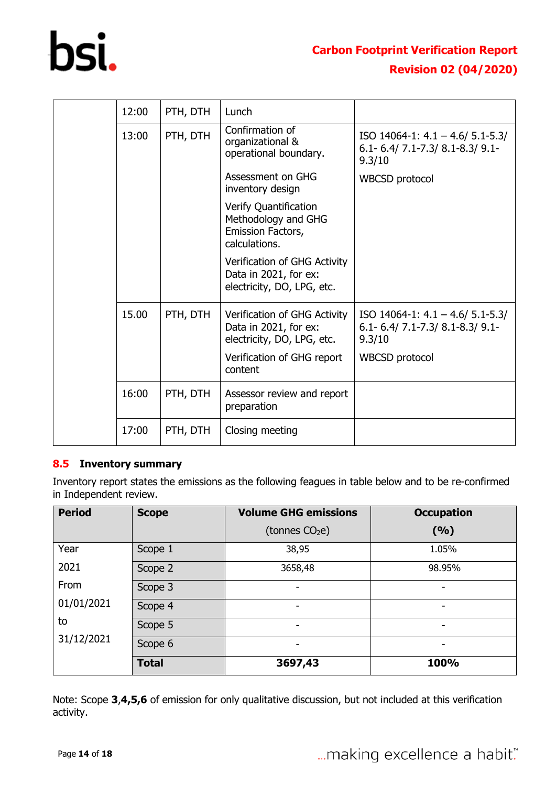

| 12:00 | PTH, DTH | Lunch                                                                               |                                                                                        |
|-------|----------|-------------------------------------------------------------------------------------|----------------------------------------------------------------------------------------|
| 13:00 | PTH, DTH | Confirmation of<br>organizational &<br>operational boundary.                        | ISO 14064-1: $4.1 - 4.6/ 5.1 - 5.3/$<br>$6.1 - 6.4$ / 7.1-7.3/ 8.1-8.3/ 9.1-<br>9.3/10 |
|       |          | Assessment on GHG<br>inventory design                                               | <b>WBCSD</b> protocol                                                                  |
|       |          | Verify Quantification<br>Methodology and GHG<br>Emission Factors,<br>calculations.  |                                                                                        |
|       |          | Verification of GHG Activity<br>Data in 2021, for ex:<br>electricity, DO, LPG, etc. |                                                                                        |
| 15.00 | PTH, DTH | Verification of GHG Activity<br>Data in 2021, for ex:<br>electricity, DO, LPG, etc. | ISO 14064-1: $4.1 - 4.6/ 5.1 - 5.3/$<br>$6.1 - 6.4$ / 7.1-7.3/ 8.1-8.3/ 9.1-<br>9.3/10 |
|       |          | Verification of GHG report<br>content                                               | <b>WBCSD</b> protocol                                                                  |
| 16:00 | PTH, DTH | Assessor review and report<br>preparation                                           |                                                                                        |
| 17:00 | PTH, DTH | Closing meeting                                                                     |                                                                                        |

#### **8.5 Inventory summary**

Inventory report states the emissions as the following feagues in table below and to be re-confirmed in Independent review.

| <b>Period</b> | <b>Scope</b> | <b>Volume GHG emissions</b> | <b>Occupation</b> |
|---------------|--------------|-----------------------------|-------------------|
|               |              | (tonnes $CO2e$ )            | (9/6)             |
| Year          | Scope 1      | 38,95                       | 1.05%             |
| 2021          | Scope 2      | 3658,48                     | 98.95%            |
| From          | Scope 3      | -                           |                   |
| 01/01/2021    | Scope 4      | -                           | -                 |
| to            | Scope 5      | -                           | ۰                 |
| 31/12/2021    | Scope 6      | -                           |                   |
|               | <b>Total</b> | 3697,43                     | 100%              |

Note: Scope **3**,**4,5,6** of emission for only qualitative discussion, but not included at this verification activity.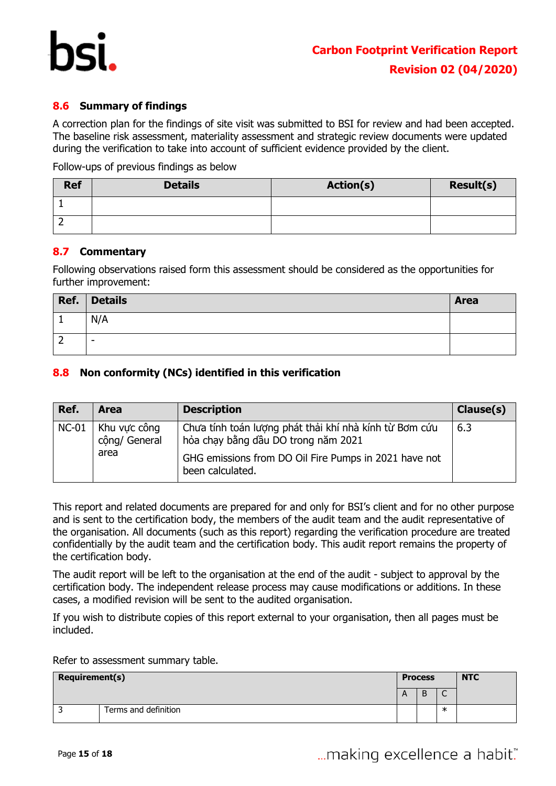

#### <span id="page-14-0"></span>**8.6 Summary of findings**

A correction plan for the findings of site visit was submitted to BSI for review and had been accepted. The baseline risk assessment, materiality assessment and strategic review documents were updated during the verification to take into account of sufficient evidence provided by the client.

Follow-ups of previous findings as below

| <b>Ref</b> | <b>Details</b> | <b>Action(s)</b> | <b>Result(s)</b> |
|------------|----------------|------------------|------------------|
|            |                |                  |                  |
| -          |                |                  |                  |

#### <span id="page-14-1"></span>**8.7 Commentary**

Following observations raised form this assessment should be considered as the opportunities for further improvement:

| Ref. | <b>Details</b>           | Area |
|------|--------------------------|------|
|      | N/A                      |      |
| ∠    | $\overline{\phantom{a}}$ |      |

#### <span id="page-14-2"></span>**8.8 Non conformity (NCs) identified in this verification**

| Ref.    | <b>Area</b>                           | <b>Description</b>                                                                                                                                                         | Clause(s) |
|---------|---------------------------------------|----------------------------------------------------------------------------------------------------------------------------------------------------------------------------|-----------|
| $NC-01$ | Khu vực công<br>cộng/ General<br>area | Chưa tính toán lượng phát thải khí nhà kính từ Bơm cứu<br>hỏa chạy bằng dầu DO trong năm 2021<br>GHG emissions from DO Oil Fire Pumps in 2021 have not<br>been calculated. | 6.3       |

This report and related documents are prepared for and only for BSI's client and for no other purpose and is sent to the certification body, the members of the audit team and the audit representative of the organisation. All documents (such as this report) regarding the verification procedure are treated confidentially by the audit team and the certification body. This audit report remains the property of the certification body.

The audit report will be left to the organisation at the end of the audit - subject to approval by the certification body. The independent release process may cause modifications or additions. In these cases, a modified revision will be sent to the audited organisation.

If you wish to distribute copies of this report external to your organisation, then all pages must be included.

Refer to assessment summary table.

| <b>Requirement(s)</b> |                      | <b>Process</b> |         |   | <b>NTC</b> |
|-----------------------|----------------------|----------------|---------|---|------------|
|                       |                      | $\mathsf{A}$   | D.<br>D | ั |            |
|                       | Terms and definition |                |         | ж |            |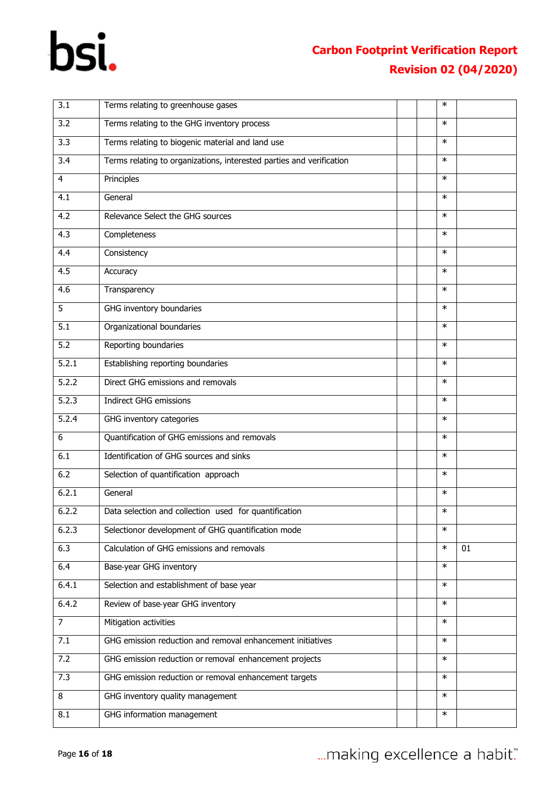## **Carbon Footprint Verification Report Revision 02 (04/2020)**

| 3.1            | Terms relating to greenhouse gases                                   | $\ast$ |    |
|----------------|----------------------------------------------------------------------|--------|----|
| 3.2            | Terms relating to the GHG inventory process                          | $\ast$ |    |
| 3.3            | Terms relating to biogenic material and land use                     | $\ast$ |    |
| 3.4            | Terms relating to organizations, interested parties and verification | $\ast$ |    |
| $\overline{4}$ | Principles                                                           | $\ast$ |    |
| 4.1            | General                                                              | $\ast$ |    |
| 4.2            | Relevance Select the GHG sources                                     | $\ast$ |    |
| 4.3            | Completeness                                                         | $\ast$ |    |
| 4.4            | Consistency                                                          | $\ast$ |    |
| 4.5            | Accuracy                                                             | $\ast$ |    |
| 4.6            | Transparency                                                         | $\ast$ |    |
| 5              | GHG inventory boundaries                                             | $\ast$ |    |
| 5.1            | Organizational boundaries                                            | $\ast$ |    |
| 5.2            | Reporting boundaries                                                 | $\ast$ |    |
| 5.2.1          | Establishing reporting boundaries                                    | $\ast$ |    |
| 5.2.2          | Direct GHG emissions and removals                                    | $\ast$ |    |
| 5.2.3          | Indirect GHG emissions                                               | $\ast$ |    |
| 5.2.4          | GHG inventory categories                                             | $\ast$ |    |
| 6              | Quantification of GHG emissions and removals                         | $\ast$ |    |
| 6.1            | Identification of GHG sources and sinks                              | $\ast$ |    |
| 6.2            | Selection of quantification approach                                 | $\ast$ |    |
| 6.2.1          | General                                                              | $\ast$ |    |
| 6.2.2          | Data selection and collection used for quantification                | $\ast$ |    |
| 6.2.3          | Selectionor development of GHG quantification mode                   | $\ast$ |    |
| 6.3            | Calculation of GHG emissions and removals                            | $\ast$ | 01 |
| 6.4            | Base-year GHG inventory                                              | $\ast$ |    |
| 6.4.1          | Selection and establishment of base year                             | $\ast$ |    |
| 6.4.2          | Review of base-year GHG inventory                                    | $\ast$ |    |
| $\overline{7}$ | Mitigation activities                                                | $\ast$ |    |
| 7.1            | GHG emission reduction and removal enhancement initiatives           | $\ast$ |    |
| 7.2            | GHG emission reduction or removal enhancement projects               | $\ast$ |    |
| 7.3            | GHG emission reduction or removal enhancement targets                | $\ast$ |    |
| 8              | GHG inventory quality management                                     | $\ast$ |    |
| 8.1            | GHG information management                                           | $\ast$ |    |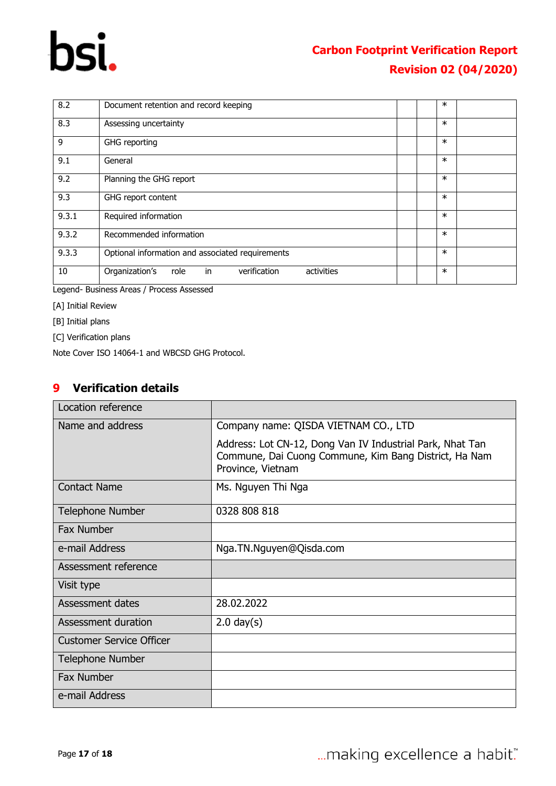| 8.2   | Document retention and record keeping                      | $\ast$ |  |
|-------|------------------------------------------------------------|--------|--|
| 8.3   | Assessing uncertainty                                      | $\ast$ |  |
| 9     | GHG reporting                                              | $\ast$ |  |
| 9.1   | General                                                    | $\ast$ |  |
| 9.2   | Planning the GHG report                                    | $\ast$ |  |
| 9.3   | GHG report content                                         | $\ast$ |  |
| 9.3.1 | Required information                                       | $\ast$ |  |
| 9.3.2 | Recommended information                                    | $\ast$ |  |
| 9.3.3 | Optional information and associated requirements           | $\ast$ |  |
| 10    | in<br>Organization's<br>verification<br>activities<br>role | $\ast$ |  |

Legend- Business Areas / Process Assessed

[A] Initial Review

[B] Initial plans

[C] Verification plans

Note Cover ISO 14064-1 and WBCSD GHG Protocol.

#### <span id="page-16-0"></span>**9 Verification details**

| Location reference              |                                                                                                                                         |
|---------------------------------|-----------------------------------------------------------------------------------------------------------------------------------------|
| Name and address                | Company name: QISDA VIETNAM CO., LTD                                                                                                    |
|                                 | Address: Lot CN-12, Dong Van IV Industrial Park, Nhat Tan<br>Commune, Dai Cuong Commune, Kim Bang District, Ha Nam<br>Province, Vietnam |
| <b>Contact Name</b>             | Ms. Nguyen Thi Nga                                                                                                                      |
| <b>Telephone Number</b>         | 0328 808 818                                                                                                                            |
| <b>Fax Number</b>               |                                                                                                                                         |
| e-mail Address                  | Nga.TN.Nguyen@Qisda.com                                                                                                                 |
| Assessment reference            |                                                                                                                                         |
| Visit type                      |                                                                                                                                         |
| Assessment dates                | 28.02.2022                                                                                                                              |
| Assessment duration             | $2.0$ day $(s)$                                                                                                                         |
| <b>Customer Service Officer</b> |                                                                                                                                         |
| <b>Telephone Number</b>         |                                                                                                                                         |
| <b>Fax Number</b>               |                                                                                                                                         |
| e-mail Address                  |                                                                                                                                         |